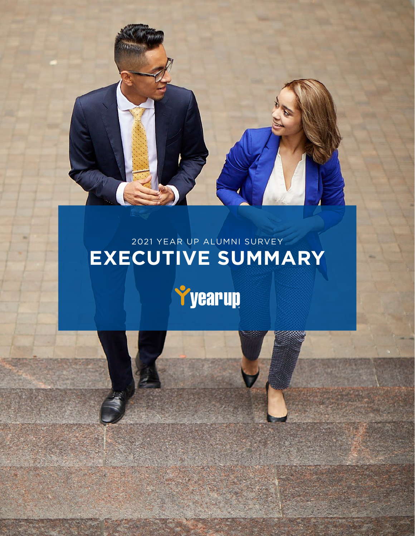

**Yyearup** 

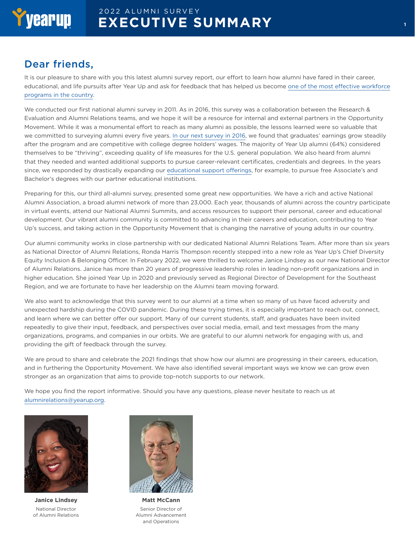#### Dear friends,

It is our pleasure to share with you this latest alumni survey report, our effort to learn how alumni have fared in their career, educational, and life pursuits after Year Up and ask for feedback that has helped us become [one of the most effective workforce](http://www.yearup.org/pace)  [programs in the country](http://www.yearup.org/pace).

We conducted our first national alumni survey in 2011. As in 2016, this survey was a collaboration between the Research & Evaluation and Alumni Relations teams, and we hope it will be a resource for internal and external partners in the Opportunity Movement. While it was a monumental effort to reach as many alumni as possible, the lessons learned were so valuable that we committed to surveying alumni every five years. [In our next survey in 2016](https://www.yearup.org/sites/default/files/2020-06/2016 Alumni Survey-ExecutiveSummary.pdf), we found that graduates' earnings grow steadily after the program and are competitive with college degree holders' wages. The majority of Year Up alumni (64%) considered themselves to be "thriving", exceeding quality of life measures for the U.S. general population. We also heard from alumni that they needed and wanted additional supports to pursue career-relevant certificates, credentials and degrees. In the years since, we responded by drastically expanding our [educational support offerings](https://www.yearupalumni.org/s/1841/interior.aspx?sid=1841&gid=2&pgid=458), for example, to pursue free Associate's and Bachelor's degrees with our partner educational institutions.

Preparing for this, our third all-alumni survey, presented some great new opportunities. We have a rich and active National Alumni Association, a broad alumni network of more than 23,000. Each year, thousands of alumni across the country participate in virtual events, attend our National Alumni Summits, and access resources to support their personal, career and educational development. Our vibrant alumni community is committed to advancing in their careers and education, contributing to Year Up's success, and taking action in the Opportunity Movement that is changing the narrative of young adults in our country.

Our alumni community works in close partnership with our dedicated National Alumni Relations Team. After more than six years as National Director of Alumni Relations, Ronda Harris Thompson recently stepped into a new role as Year Up's Chief Diversity Equity Inclusion & Belonging Officer. In February 2022, we were thrilled to welcome Janice Lindsey as our new National Director of Alumni Relations. Janice has more than 20 years of progressive leadership roles in leading non-profit organizations and in higher education. She joined Year Up in 2020 and previously served as Regional Director of Development for the Southeast Region, and we are fortunate to have her leadership on the Alumni team moving forward.

We also want to acknowledge that this survey went to our alumni at a time when so many of us have faced adversity and unexpected hardship during the COVID pandemic. During these trying times, it is especially important to reach out, connect, and learn where we can better offer our support. Many of our current students, staff, and graduates have been invited repeatedly to give their input, feedback, and perspectives over social media, email, and text messages from the many organizations, programs, and companies in our orbits. We are grateful to our alumni network for engaging with us, and providing the gift of feedback through the survey.

We are proud to share and celebrate the 2021 findings that show how our alumni are progressing in their careers, education, and in furthering the Opportunity Movement. We have also identified several important ways we know we can grow even stronger as an organization that aims to provide top-notch supports to our network.

We hope you find the report informative. Should you have any questions, please never hesitate to reach us at [alumnirelations@yearup.org.](mailto:alumnirelations%40yearup.org?subject=)



**Janice Lindsey** National Director of Alumni Relations



**Matt McCann** Senior Director of Alumni Advancement and Operations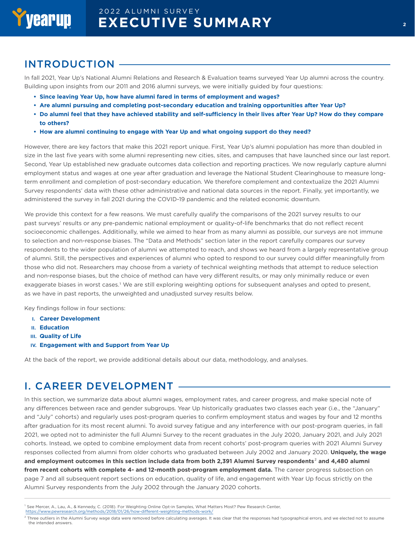#### INTRODUCTION

In fall 2021, Year Up's National Alumni Relations and Research & Evaluation teams surveyed Year Up alumni across the country. Building upon insights from our 2011 and 2016 alumni surveys, we were initially guided by four questions:

- **• Since leaving Year Up, how have alumni fared in terms of employment and wages?**
- **• Are alumni pursuing and completing post-secondary education and training opportunities after Year Up?**
- **• Do alumni feel that they have achieved stability and self-sufficiency in their lives after Year Up? How do they compare to others?**
- **• How are alumni continuing to engage with Year Up and what ongoing support do they need?**

However, there are key factors that make this 2021 report unique. First, Year Up's alumni population has more than doubled in size in the last five years with some alumni representing new cities, sites, and campuses that have launched since our last report. Second, Year Up established new graduate outcomes data collection and reporting practices. We now regularly capture alumni employment status and wages at one year after graduation and leverage the National Student Clearinghouse to measure longterm enrollment and completion of post-secondary education. We therefore complement and contextualize the 2021 Alumni Survey respondents' data with these other administrative and national data sources in the report. Finally, yet importantly, we administered the survey in fall 2021 during the COVID-19 pandemic and the related economic downturn.

We provide this context for a few reasons. We must carefully qualify the comparisons of the 2021 survey results to our past surveys' results or any pre-pandemic national employment or quality-of-life benchmarks that do not reflect recent socioeconomic challenges. Additionally, while we aimed to hear from as many alumni as possible, our surveys are not immune to selection and non-response biases. The "Data and Methods" section later in the report carefully compares our survey respondents to the wider population of alumni we attempted to reach, and shows we heard from a largely representative group of alumni. Still, the perspectives and experiences of alumni who opted to respond to our survey could differ meaningfully from those who did not. Researchers may choose from a variety of technical weighting methods that attempt to reduce selection and non-response biases, but the choice of method can have very different results, or may only minimally reduce or even exaggerate biases in worst cases.<sup>1</sup> We are still exploring weighting options for subsequent analyses and opted to present, as we have in past reports, the unweighted and unadjusted survey results below.

Key findings follow in four sections:

- **I. Career Development**
- **II. Education**
- **III. Quality of Life**
- **IV. Engagement with and Support from Year Up**

At the back of the report, we provide additional details about our data, methodology, and analyses.

#### I. CAREER DEVELOPMENT

In this section, we summarize data about alumni wages, employment rates, and career progress, and make special note of any differences between race and gender subgroups. Year Up historically graduates two classes each year (i.e., the "January" and "July" cohorts) and regularly uses post-program queries to confirm employment status and wages by four and 12 months after graduation for its most recent alumni. To avoid survey fatigue and any interference with our post-program queries, in fall 2021, we opted not to administer the full Alumni Survey to the recent graduates in the July 2020, January 2021, and July 2021 cohorts. Instead, we opted to combine employment data from recent cohorts' post-program queries with 2021 Alumni Survey responses collected from alumni from older cohorts who graduated between July 2002 and January 2020. **Uniquely, the wage and employment outcomes in this section include data from both 2,391 Alumni Survey respondents**2 **and 4,480 alumni from recent cohorts with complete 4- and 12-month post-program employment data.** The career progress subsection on page 7 and all subsequent report sections on education, quality of life, and engagement with Year Up focus strictly on the Alumni Survey respondents from the July 2002 through the January 2020 cohorts.

<https://www.pewresearch.org/methods/2018/01/26/how-different-weighting-methods-work/>

<sup>&</sup>lt;sup>1</sup> See Mercer, A., Lau, A., & Kennedy, C. (2018). For Weighting Online Opt-in Samples, What Matters Most? Pew Research Center,

 $^2$  Three outliers in the Alumni Survey wage data were removed before calculating averages. It was clear that the responses had typographical errors, and we elected not to assume the intended answers.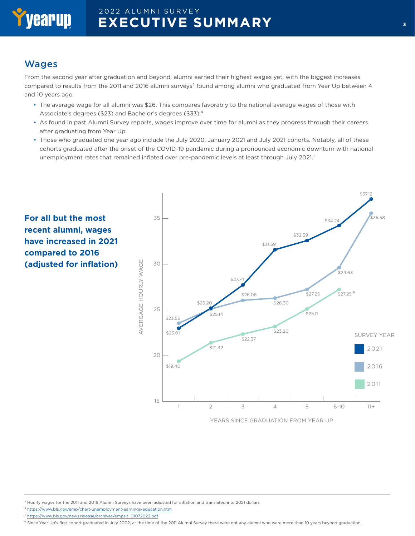# yearup

## 2022 ALUMNI SURVEY **EXECUTIVE SUMMARY**

#### Wages

From the second year after graduation and beyond, alumni earned their highest wages yet, with the biggest increases compared to results from the 2011 and 2016 alumni surveys<sup>3</sup> found among alumni who graduated from Year Up between 4 and 10 years ago.

- The average wage for all alumni was \$26. This compares favorably to the national average wages of those with Associate's degrees (\$23) and Bachelor's degrees (\$33).4
- As found in past Alumni Survey reports, wages improve over time for alumni as they progress through their careers after graduating from Year Up.
- Those who graduated one year ago include the July 2020, January 2021 and July 2021 cohorts. Notably, all of these cohorts graduated after the onset of the COVID-19 pandemic during a pronounced economic downturn with national unemployment rates that remained inflated over pre-pandemic levels at least through July 2021.<sup>5</sup>



<sup>3</sup> Hourly wages for the 2011 and 2016 Alumni Surveys have been adjusted for inflation and translated into 2021 dollars

4 <https://www.bls.gov/emp/chart-unemployment-earnings-education.htm>

5 [https://www.bls.gov/news.release/archives/empsit\\_01072022.pdf](https://www.bls.gov/news.release/archives/empsit_01072022.pdf)

<sup>6</sup> Since Year Up's first cohort graduated in July 2002, at the time of the 2011 Alumni Survey there were not any alumni who were more than 10 years beyond graduation.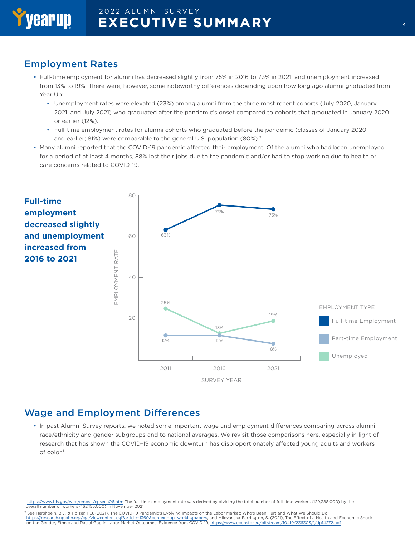#### Employment Rates

- Full-time employment for alumni has decreased slightly from 75% in 2016 to 73% in 2021, and unemployment increased from 13% to 19%. There were, however, some noteworthy differences depending upon how long ago alumni graduated from Year Up:
	- Unemployment rates were elevated (23%) among alumni from the three most recent cohorts (July 2020, January 2021, and July 2021) who graduated after the pandemic's onset compared to cohorts that graduated in January 2020 or earlier (12%).
	- Full-time employment rates for alumni cohorts who graduated before the pandemic (classes of January 2020 and earlier; 81%) were comparable to the general U.S. population (80%).<sup>7</sup>
- Many alumni reported that the COVID-19 pandemic affected their employment. Of the alumni who had been unemployed for a period of at least 4 months, 88% lost their jobs due to the pandemic and/or had to stop working due to health or care concerns related to COVID-19.



#### Wage and Employment Differences

• In past Alumni Survey reports, we noted some important wage and employment differences comparing across alumni race/ethnicity and gender subgroups and to national averages. We revisit those comparisons here, especially in light of research that has shown the COVID-19 economic downturn has disproportionately affected young adults and workers of color.<sup>8</sup>

<sup>7</sup> <https://www.bls.gov/web/empsit/cpseea06.htm> The full-time employment rate was derived by dividing the total number of full-time workers (129,388,000) by the overall number of workers (162,155,000) in November 2021

8 See Hershbein, B.J., & Holzer, H.J. (2021), The COVID-19 Pandemic's Evolving Impacts on the Labor Market: Who's Been Hurt and What We Should Do, [https://research.upjohn.org/cgi/viewcontent.cgi?article=1360&context=up\\_workingpapers,](https://research.upjohn.org/cgi/viewcontent.cgi?article=1360&context=up_workingpapers) and Milovanska-Farrington, S. (2021), The Effect of a Health and Economic Shock on the Gender, Ethnic and Racial Gap in Labor Market Outcomes: Evidence from COVID-19, <https://www.econstor.eu/bitstream/10419/236303/1/dp14272.pdf>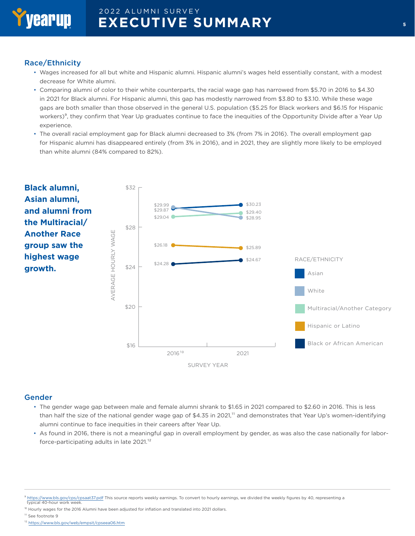

#### Race/Ethnicity

- Wages increased for all but white and Hispanic alumni. Hispanic alumni's wages held essentially constant, with a modest decrease for White alumni.
- Comparing alumni of color to their white counterparts, the racial wage gap has narrowed from \$5.70 in 2016 to \$4.30 in 2021 for Black alumni. For Hispanic alumni, this gap has modestly narrowed from \$3.80 to \$3.10. While these wage gaps are both smaller than those observed in the general U.S. population (\$5.25 for Black workers and \$6.15 for Hispanic workers)<sup>9</sup>, they confirm that Year Up graduates continue to face the inequities of the Opportunity Divide after a Year Up experience.
- The overall racial employment gap for Black alumni decreased to 3% (from 7% in 2016). The overall employment gap for Hispanic alumni has disappeared entirely (from 3% in 2016), and in 2021, they are slightly more likely to be employed than white alumni (84% compared to 82%).



#### Gender

- The gender wage gap between male and female alumni shrank to \$1.65 in 2021 compared to \$2.60 in 2016. This is less than half the size of the national gender wage gap of \$4.35 in 2021,<sup>11</sup> and demonstrates that Year Up's women-identifying alumni continue to face inequities in their careers after Year Up.
- As found in 2016, there is not a meaningful gap in overall employment by gender, as was also the case nationally for laborforce-participating adults in late 2021.<sup>12</sup>

- <sup>10</sup> Hourly wages for the 2016 Alumni have been adjusted for inflation and translated into 2021 dollars.
- <sup>11</sup> See footnote 9

12 <https://www.bls.gov/web/empsit/cpseea06.htm>

 $\frac{9}{1}$  <https://www.bls.gov/cps/cpsaat37.pdf>This source reports weekly earnings. To convert to hourly earnings, we divided the weekly figures by 40, representing a<br>typical 40-hour work week.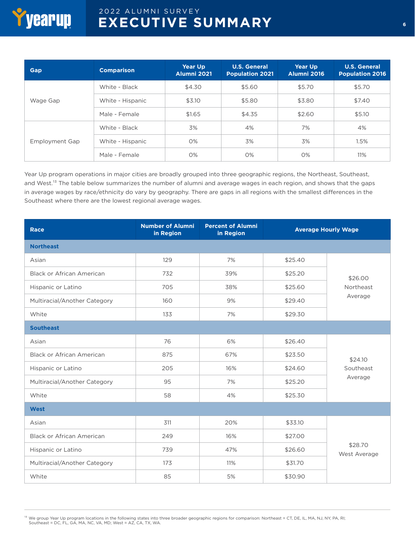| Gap                   | <b>Comparison</b> | <b>Year Up</b><br>Alumni 2021 | <b>U.S. General</b><br><b>Population 2021</b> | <b>Year Up</b><br>Alumni 2016 | <b>U.S. General</b><br><b>Population 2016</b> |
|-----------------------|-------------------|-------------------------------|-----------------------------------------------|-------------------------------|-----------------------------------------------|
| Wage Gap              | White - Black     | \$4.30                        | \$5.60                                        | \$5.70                        | \$5.70                                        |
|                       | White - Hispanic  | \$3.10                        | \$5.80                                        | \$3.80                        | \$7.40                                        |
|                       | Male - Female     | \$1.65                        | \$4.35                                        | \$2.60                        | \$5.10                                        |
| <b>Employment Gap</b> | White - Black     | 3%                            | 4%                                            | 7%                            | 4%                                            |
|                       | White - Hispanic  | O%                            | 3%                                            | 3%                            | 1.5%                                          |
|                       | Male - Female     | O%                            | $O\%$                                         | O%                            | 11%                                           |

Year Up program operations in major cities are broadly grouped into three geographic regions, the Northeast, Southeast, and West.<sup>13</sup> The table below summarizes the number of alumni and average wages in each region, and shows that the gaps in average wages by race/ethnicity do vary by geography. There are gaps in all regions with the smallest differences in the Southeast where there are the lowest regional average wages.

| <b>Race</b>                      | <b>Number of Alumni</b><br>in Region | <b>Percent of Alumni</b><br>in Region |         | <b>Average Hourly Wage</b> |
|----------------------------------|--------------------------------------|---------------------------------------|---------|----------------------------|
| <b>Northeast</b>                 |                                      |                                       |         |                            |
| Asian                            | 129                                  | 7%                                    | \$25.40 |                            |
| <b>Black or African American</b> | 732                                  | 39%                                   | \$25.20 | \$26.00                    |
| Hispanic or Latino               | 705                                  | 38%                                   | \$25.60 | Northeast                  |
| Multiracial/Another Category     | 160                                  | 9%                                    | \$29.40 | Average                    |
| White                            | 133                                  | 7%                                    | \$29.30 |                            |
| <b>Southeast</b>                 |                                      |                                       |         |                            |
| Asian                            | 76                                   | 6%                                    | \$26.40 |                            |
| <b>Black or African American</b> | 875                                  | 67%                                   | \$23.50 | \$24.10                    |
| Hispanic or Latino               | 205                                  | 16%                                   | \$24.60 | Southeast                  |
| Multiracial/Another Category     | 95                                   | 7%                                    | \$25.20 | Average                    |
| White                            | 58                                   | 4%                                    | \$25.30 |                            |
| <b>West</b>                      |                                      |                                       |         |                            |
| Asian                            | 311                                  | 20%                                   | \$33.10 |                            |
| Black or African American        | 249                                  | 16%                                   | \$27.00 |                            |
| Hispanic or Latino               | 739                                  | 47%                                   | \$26.60 | \$28.70<br>West Average    |
| Multiracial/Another Category     | 173                                  | 11%                                   | \$31.70 |                            |
| White                            | 85                                   | 5%                                    | \$30.90 |                            |

<sup>13</sup> We group Year Up program locations in the following states into three broader geographic regions for comparison: Northeast = CT, DE, IL, MA, NJ, NY, PA, RI;<br>Southeast = DC, FL, GA, MA, NC, VA, MD; West = AZ, CA, TX, W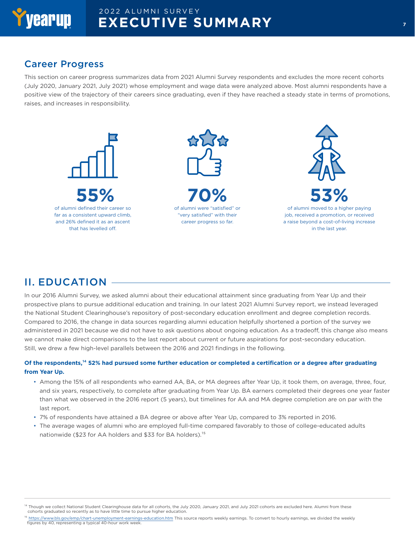

#### Career Progress

This section on career progress summarizes data from 2021 Alumni Survey respondents and excludes the more recent cohorts (July 2020, January 2021, July 2021) whose employment and wage data were analyzed above. Most alumni respondents have a positive view of the trajectory of their careers since graduating, even if they have reached a steady state in terms of promotions, raises, and increases in responsibility.



# II. EDUCATION

In our 2016 Alumni Survey, we asked alumni about their educational attainment since graduating from Year Up and their prospective plans to pursue additional education and training. In our latest 2021 Alumni Survey report, we instead leveraged the National Student Clearinghouse's repository of post-secondary education enrollment and degree completion records. Compared to 2016, the change in data sources regarding alumni education helpfully shortened a portion of the survey we administered in 2021 because we did not have to ask questions about ongoing education. As a tradeoff, this change also means we cannot make direct comparisons to the last report about current or future aspirations for post-secondary education. Still, we drew a few high-level parallels between the 2016 and 2021 findings in the following.

#### **Of the respondents,14 52% had pursued some further education or completed a certification or a degree after graduating from Year Up.**

- Among the 15% of all respondents who earned AA, BA, or MA degrees after Year Up, it took them, on average, three, four, and six years, respectively, to complete after graduating from Year Up. BA earners completed their degrees one year faster than what we observed in the 2016 report (5 years), but timelines for AA and MA degree completion are on par with the last report.
- 7% of respondents have attained a BA degree or above after Year Up, compared to 3% reported in 2016.
- The average wages of alumni who are employed full-time compared favorably to those of college-educated adults nationwide (\$23 for AA holders and \$33 for BA holders).15

<sup>&</sup>lt;sup>14</sup> Though we collect National Student Clearinghouse data for all cohorts, the July 2020, January 2021, and July 2021 cohorts are excluded here. Alumni from these cohorts graduated so recently as to have little time to pursue higher education.

<sup>&</sup>lt;sup>15</sup> <https://www.bls.gov/emp/chart-unemployment-earnings-education.htm>This source reports weekly earnings. To convert to hourly earnings, we divided the weekly<br>figures by 40, representing a typical 40-hour work week.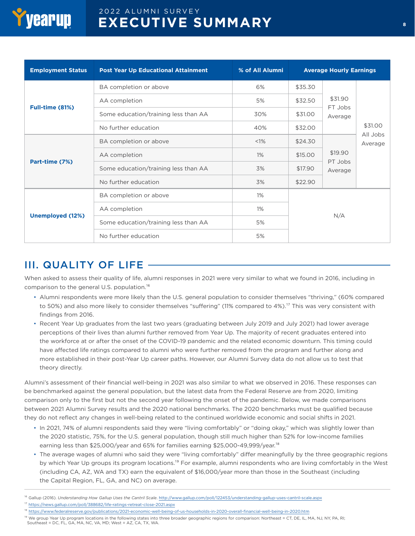

| <b>Employment Status</b><br><b>Post Year Up Educational Attainment</b> |                                      | % of All Alumni |         | <b>Average Hourly Earnings</b> |                     |  |
|------------------------------------------------------------------------|--------------------------------------|-----------------|---------|--------------------------------|---------------------|--|
|                                                                        | BA completion or above               | 6%              | \$35.30 |                                |                     |  |
|                                                                        | AA completion                        | 5%              | \$32.50 | \$31.90                        |                     |  |
| <b>Full-time (81%)</b>                                                 | Some education/training less than AA | 30%             | \$31.00 | FT Jobs<br>Average             |                     |  |
|                                                                        | No further education                 | 40%             | \$32.00 |                                | \$31.00             |  |
| Part-time (7%)                                                         | BA completion or above               | <1%             | \$24.30 |                                | All Jobs<br>Average |  |
|                                                                        | AA completion                        | 1%              | \$15.00 | \$19.90<br>PT Jobs             |                     |  |
|                                                                        | Some education/training less than AA | 3%              | \$17.90 | Average                        |                     |  |
|                                                                        | No further education                 | 3%              | \$22.90 |                                |                     |  |
|                                                                        | BA completion or above               | 1%              |         |                                |                     |  |
| Unemployed (12%)                                                       | AA completion                        | 1%              |         |                                |                     |  |
|                                                                        | Some education/training less than AA | 5%              | N/A     |                                |                     |  |
|                                                                        | No further education                 | 5%              |         |                                |                     |  |

## III. QUALITY OF LIFE

When asked to assess their quality of life, alumni responses in 2021 were very similar to what we found in 2016, including in comparison to the general U.S. population.<sup>16</sup>

- Alumni respondents were more likely than the U.S. general population to consider themselves "thriving," (60% compared to 50%) and also more likely to consider themselves "suffering" (11% compared to 4%).<sup>17</sup> This was very consistent with findings from 2016.
- Recent Year Up graduates from the last two years (graduating between July 2019 and July 2021) had lower average perceptions of their lives than alumni further removed from Year Up. The majority of recent graduates entered into the workforce at or after the onset of the COVID-19 pandemic and the related economic downturn. This timing could have affected life ratings compared to alumni who were further removed from the program and further along and more established in their post-Year Up career paths. However, our Alumni Survey data do not allow us to test that theory directly.

Alumni's assessment of their financial well-being in 2021 was also similar to what we observed in 2016. These responses can be benchmarked against the general population, but the latest data from the Federal Reserve are from 2020, limiting comparison only to the first but not the second year following the onset of the pandemic. Below, we made comparisons between 2021 Alumni Survey results and the 2020 national benchmarks. The 2020 benchmarks must be qualified because they do not reflect any changes in well-being related to the continued worldwide economic and social shifts in 2021.

- In 2021, 74% of alumni respondents said they were "living comfortably" or "doing okay," which was slightly lower than the 2020 statistic, 75%, for the U.S. general population, though still much higher than 52% for low-income families earning less than \$25,000/year and 65% for families earning \$25,000-49,999/year.<sup>18</sup>
- The average wages of alumni who said they were "living comfortably" differ meaningfully by the three geographic regions by which Year Up groups its program locations.<sup>19</sup> For example, alumni respondents who are living comfortably in the West (including CA, AZ, WA and TX) earn the equivalent of \$16,000/year more than those in the Southeast (including the Capital Region, FL, GA, and NC) on average.
- <sup>16</sup> Gallup (2016). *Understanding How Gallup Uses the Cantril Scale*.<http://www.gallup.com/poll/122453/understanding-gallup-uses-cantril-scale.aspx>
- 17 <https://news.gallup.com/poll/388682/life-ratings-retreat-close-2021.aspx>
- <sup>18</sup> <https://www.federalreserve.gov/publications/2021-economic-well-being-of-us-households-in-2020-overall-financial-well-being-in-2020.htm>

<sup>&</sup>lt;sup>19</sup> We group Year Up program locations in the following states into three broader geographic regions for comparison: Northeast = CT, DE, IL, MA, NJ, NY, PA, RI; Southeast = DC, FL, GA, MA, NC, VA, MD; West = AZ, CA, TX, WA.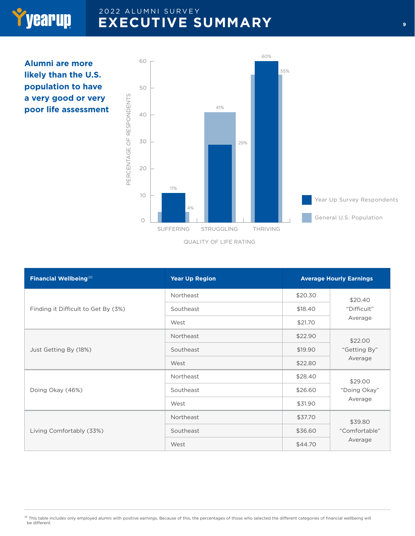**Alumni are more likely than the U.S. population to have a very good or very poor life assessment**

Yyearup



| Financial Wellbeing <sup>20</sup><br><b>Year Up Region</b> |           |         | <b>Average Hourly Earnings</b> |
|------------------------------------------------------------|-----------|---------|--------------------------------|
|                                                            | Northeast | \$20.30 | \$20.40                        |
| Finding it Difficult to Get By (3%)                        | Southeast | \$18.40 | "Difficult"                    |
|                                                            | West      | \$21.70 | Average                        |
| Just Getting By (18%)                                      | Northeast | \$22.90 | \$22.00                        |
|                                                            | Southeast | \$19.90 | "Getting By"                   |
|                                                            | West      | \$22.80 | Average                        |
|                                                            | Northeast | \$28.40 | \$29.00                        |
| Doing Okay (46%)                                           | Southeast | \$26.60 | "Doing Okay"                   |
|                                                            | West      | \$31.90 | Average                        |
| Living Comfortably (33%)                                   | Northeast | \$37.70 | \$39.80                        |
|                                                            | Southeast | \$36.60 | "Comfortable"                  |
|                                                            | West      | \$44.70 | Average                        |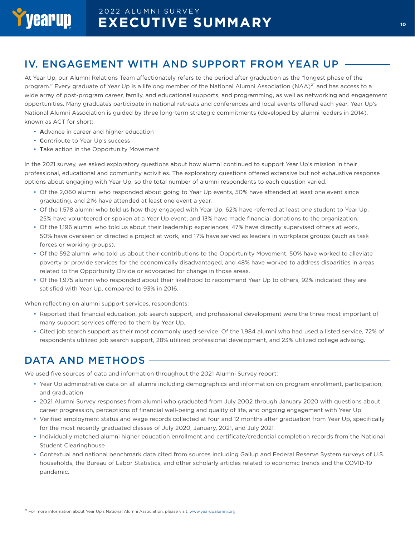# IV. ENGAGEMENT WITH AND SUPPORT FROM YEAR UP

At Year Up, our Alumni Relations Team affectionately refers to the period after graduation as the "longest phase of the program." Every graduate of Year Up is a lifelong member of the National Alumni Association (NAA)<sup>21</sup> and has access to a wide array of post-program career, family, and educational supports, and programming, as well as networking and engagement opportunities. Many graduates participate in national retreats and conferences and local events offered each year. Year Up's National Alumni Association is guided by three long-term strategic commitments (developed by alumni leaders in 2014), known as ACT for short:

- **A**dvance in career and higher education
- **C**ontribute to Year Up's success
- **T**ake action in the Opportunity Movement

In the 2021 survey, we asked exploratory questions about how alumni continued to support Year Up's mission in their professional, educational and community activities. The exploratory questions offered extensive but not exhaustive response options about engaging with Year Up, so the total number of alumni respondents to each question varied.

- Of the 2,060 alumni who responded about going to Year Up events, 50% have attended at least one event since graduating, and 21% have attended at least one event a year.
- Of the 1,578 alumni who told us how they engaged with Year Up, 62% have referred at least one student to Year Up, 25% have volunteered or spoken at a Year Up event, and 13% have made financial donations to the organization.
- Of the 1,196 alumni who told us about their leadership experiences, 47% have directly supervised others at work, 50% have overseen or directed a project at work, and 17% have served as leaders in workplace groups (such as task forces or working groups).
- Of the 592 alumni who told us about their contributions to the Opportunity Movement, 50% have worked to alleviate poverty or provide services for the economically disadvantaged, and 48% have worked to address disparities in areas related to the Opportunity Divide or advocated for change in those areas.
- Of the 1,975 alumni who responded about their likelihood to recommend Year Up to others, 92% indicated they are satisfied with Year Up, compared to 93% in 2016.

When reflecting on alumni support services, respondents:

- Reported that financial education, job search support, and professional development were the three most important of many support services offered to them by Year Up.
- Cited job search support as their most commonly used service. Of the 1,984 alumni who had used a listed service, 72% of respondents utilized job search support, 28% utilized professional development, and 23% utilized college advising.

## DATA AND METHODS

We used five sources of data and information throughout the 2021 Alumni Survey report:

- Year Up administrative data on all alumni including demographics and information on program enrollment, participation, and graduation
- 2021 Alumni Survey responses from alumni who graduated from July 2002 through January 2020 with questions about career progression, perceptions of financial well-being and quality of life, and ongoing engagement with Year Up
- Verified employment status and wage records collected at four and 12 months after graduation from Year Up, specifically for the most recently graduated classes of July 2020, January, 2021, and July 2021
- Individually matched alumni higher education enrollment and certificate/credential completion records from the National Student Clearinghouse
- Contextual and national benchmark data cited from sources including Gallup and Federal Reserve System surveys of U.S. households, the Bureau of Labor Statistics, and other scholarly articles related to economic trends and the COVID-19 pandemic.

<sup>&</sup>lt;sup>21</sup> For more information about Year Up's National Alumni Association, please visit: [www.yearupalumni.org](http://www.yearupalumni.org)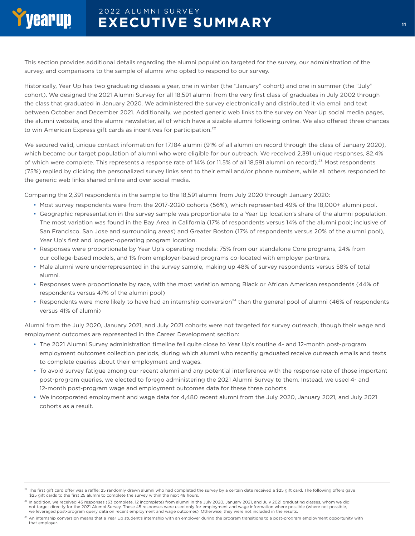This section provides additional details regarding the alumni population targeted for the survey, our administration of the survey, and comparisons to the sample of alumni who opted to respond to our survey.

Historically, Year Up has two graduating classes a year, one in winter (the "January" cohort) and one in summer (the "July" cohort). We designed the 2021 Alumni Survey for all 18,591 alumni from the very first class of graduates in July 2002 through the class that graduated in January 2020. We administered the survey electronically and distributed it via email and text between October and December 2021. Additionally, we posted generic web links to the survey on Year Up social media pages, the alumni website, and the alumni newsletter, all of which have a sizable alumni following online. We also offered three chances to win American Express gift cards as incentives for participation.<sup>22</sup>

We secured valid, unique contact information for 17,184 alumni (91% of all alumni on record through the class of January 2020), which became our target population of alumni who were eligible for our outreach. We received 2,391 unique responses, 82.4% of which were complete. This represents a response rate of 14% (or 11.5% of all 18,591 alumni on record).<sup>23</sup> Most respondents (75%) replied by clicking the personalized survey links sent to their email and/or phone numbers, while all others responded to the generic web links shared online and over social media.

Comparing the 2,391 respondents in the sample to the 18,591 alumni from July 2020 through January 2020:

- Most survey respondents were from the 2017-2020 cohorts (56%), which represented 49% of the 18,000+ alumni pool.
- Geographic representation in the survey sample was proportionate to a Year Up location's share of the alumni population. The most variation was found in the Bay Area in California (17% of respondents versus 14% of the alumni pool; inclusive of San Francisco, San Jose and surrounding areas) and Greater Boston (17% of respondents versus 20% of the alumni pool), Year Up's first and longest-operating program location.
- Responses were proportionate by Year Up's operating models: 75% from our standalone Core programs, 24% from our college-based models, and 1% from employer-based programs co-located with employer partners.
- Male alumni were underrepresented in the survey sample, making up 48% of survey respondents versus 58% of total alumni.
- Responses were proportionate by race, with the most variation among Black or African American respondents (44% of respondents versus 47% of the alumni pool)
- Respondents were more likely to have had an internship conversion<sup>24</sup> than the general pool of alumni (46% of respondents versus 41% of alumni)

Alumni from the July 2020, January 2021, and July 2021 cohorts were not targeted for survey outreach, though their wage and employment outcomes are represented in the Career Development section:

- The 2021 Alumni Survey administration timeline fell quite close to Year Up's routine 4- and 12-month post-program employment outcomes collection periods, during which alumni who recently graduated receive outreach emails and texts to complete queries about their employment and wages.
- To avoid survey fatigue among our recent alumni and any potential interference with the response rate of those important post-program queries, we elected to forego administering the 2021 Alumni Survey to them. Instead, we used 4- and 12-month post-program wage and employment outcomes data for these three cohorts.
- We incorporated employment and wage data for 4,480 recent alumni from the July 2020, January 2021, and July 2021 cohorts as a result.

 $^{22}$  The first gift card offer was a raffle; 25 randomly drawn alumni who had completed the survey by a certain date received a \$25 gift card. The following offers gave \$25 gift cards to the first 25 alumni to complete the survey within the next 48 hours.

<sup>&</sup>lt;sup>23</sup> In addition, we received 45 responses (33 complete, 12 incomplete) from alumni in the July 2020, January 2021, and July 2021 graduating classes, whom we did not target directly for the 2021 Alumni Survey. These 45 responses were used only for employment and wage information where possible (where not possible, we leveraged post-program query data on recent employment and wage outcomes). Otherwise, they were not included in the results.

 $^{24}$  An internship conversion means that a Year Up student's internship with an employer during the program transitions to a post-program employment opportunity with that employer.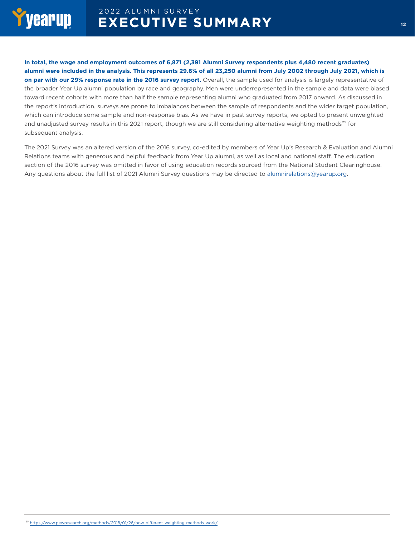

**In total, the wage and employment outcomes of 6,871 (2,391 Alumni Survey respondents plus 4,480 recent graduates) alumni were included in the analysis. This represents 29.6% of all 23,250 alumni from July 2002 through July 2021, which is on par with our 29% response rate in the 2016 survey report.** Overall, the sample used for analysis is largely representative of the broader Year Up alumni population by race and geography. Men were underrepresented in the sample and data were biased toward recent cohorts with more than half the sample representing alumni who graduated from 2017 onward. As discussed in the report's introduction, surveys are prone to imbalances between the sample of respondents and the wider target population, which can introduce some sample and non-response bias. As we have in past survey reports, we opted to present unweighted and unadjusted survey results in this 2021 report, though we are still considering alternative weighting methods<sup>25</sup> for subsequent analysis.

The 2021 Survey was an altered version of the 2016 survey, co-edited by members of Year Up's Research & Evaluation and Alumni Relations teams with generous and helpful feedback from Year Up alumni, as well as local and national staff. The education section of the 2016 survey was omitted in favor of using education records sourced from the National Student Clearinghouse. Any questions about the full list of 2021 Alumni Survey questions may be directed to [alumnirelations@yearup.org.](mailto:alumnirelations%40yearup.org?subject=)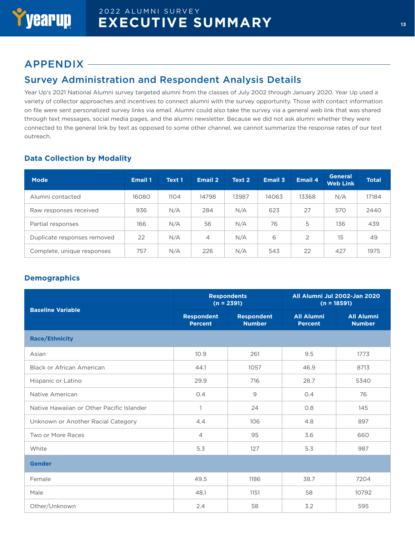#### APPENDIX

#### Survey Administration and Respondent Analysis Details

Year Up's 2021 National Alumni survey targeted alumni from the classes of July 2002 through January 2020. Year Up used a variety of collector approaches and incentives to connect alumni with the survey opportunity. Those with contact information on file were sent personalized survey links via email. Alumni could also take the survey via a general web link that was shared through text messages, social media pages, and the alumni newsletter. Because we did not ask alumni whether they were connected to the general link by text as opposed to some other channel, we cannot summarize the response rates of our text outreach.

#### **Data Collection by Modality**

| <b>Mode</b>                 | <b>Email 1</b> | Text 1 | <b>Email 2</b> | Text 2 | Email 3 | Email 4 | <b>General</b><br><b>Web Link</b> | <b>Total</b> |
|-----------------------------|----------------|--------|----------------|--------|---------|---------|-----------------------------------|--------------|
| Alumni contacted            | 16080          | 1104   | 14798          | 13987  | 14063   | 13368   | N/A                               | 17184        |
| Raw responses received      | 936            | N/A    | 284            | N/A    | 623     | 27      | 570                               | 2440         |
| Partial responses           | 166            | N/A    | 56             | N/A    | 76      | 5       | 136                               | 439          |
| Duplicate responses removed | 22             | N/A    | $\overline{4}$ | N/A    | 6       | 2       | 15                                | 49           |
| Complete, unique responses  | 757            | N/A    | 226            | N/A    | 543     | 22      | 427                               | 1975         |

#### **Demographics**

|                                           | $(n = 2391)$                        | <b>Respondents</b>                 | All Alumni Jul 2002-Jan 2020<br>$(n = 18591)$ |                                    |  |
|-------------------------------------------|-------------------------------------|------------------------------------|-----------------------------------------------|------------------------------------|--|
| <b>Baseline Variable</b>                  | <b>Respondent</b><br><b>Percent</b> | <b>Respondent</b><br><b>Number</b> | <b>All Alumni</b><br><b>Percent</b>           | <b>All Alumni</b><br><b>Number</b> |  |
| <b>Race/Ethnicity</b>                     |                                     |                                    |                                               |                                    |  |
| Asian                                     | 10.9                                | 261                                | 9.5                                           | 1773                               |  |
| Black or African American                 | 44.1                                | 1057                               | 46.9                                          | 8713                               |  |
| Hispanic or Latino                        | 29.9                                | 716                                | 28.7                                          | 5340                               |  |
| Native American                           | O.4                                 | 9                                  | 0.4                                           | 76                                 |  |
| Native Hawaiian or Other Pacific Islander | 1                                   | 24                                 | 0.8                                           | 145                                |  |
| Unknown or Another Racial Category        | 4.4                                 | 106                                | 4.8                                           | 897                                |  |
| Two or More Races                         | $\overline{4}$                      | 95                                 | 3.6                                           | 660                                |  |
| White                                     | 5.3                                 | 127                                | 5.3                                           | 987                                |  |
| <b>Gender</b>                             |                                     |                                    |                                               |                                    |  |
| Female                                    | 49.5                                | 1186                               | 38.7                                          | 7204                               |  |
| Male                                      | 48.1                                | 1151                               | 58                                            | 10792                              |  |
| Other/Unknown                             | 2.4                                 | 58                                 | 3.2                                           | 595                                |  |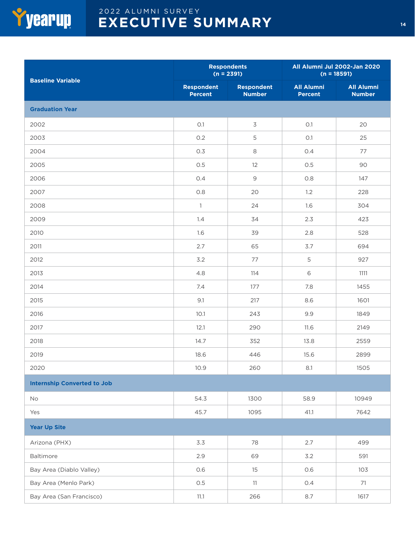

| <b>Baseline Variable</b>           | $(n = 2391)$                        | <b>Respondents</b>                 | All Alumni Jul 2002-Jan 2020<br>$(n = 18591)$ |                                    |  |
|------------------------------------|-------------------------------------|------------------------------------|-----------------------------------------------|------------------------------------|--|
|                                    | <b>Respondent</b><br><b>Percent</b> | <b>Respondent</b><br><b>Number</b> | <b>All Alumni</b><br><b>Percent</b>           | <b>All Alumni</b><br><b>Number</b> |  |
| <b>Graduation Year</b>             |                                     |                                    |                                               |                                    |  |
| 2002                               | O.1                                 | 3                                  | O.1                                           | 20                                 |  |
| 2003                               | O.2                                 | 5                                  | O.1                                           | 25                                 |  |
| 2004                               | 0.3                                 | 8                                  | 0.4                                           | 77                                 |  |
| 2005                               | 0.5                                 | 12                                 | 0.5                                           | 90                                 |  |
| 2006                               | 0.4                                 | $\mathsf 9$                        | 0.8                                           | 147                                |  |
| 2007                               | 0.8                                 | 20                                 | 1.2                                           | 228                                |  |
| 2008                               | $\mathbf{1}$                        | 24                                 | 1.6                                           | 304                                |  |
| 2009                               | 1.4                                 | 34                                 | 2.3                                           | 423                                |  |
| 2010                               | 1.6                                 | 39                                 | 2.8                                           | 528                                |  |
| 2011                               | 2.7                                 | 65                                 | 3.7                                           | 694                                |  |
| 2012                               | 3.2                                 | 77                                 | 5                                             | 927                                |  |
| 2013                               | 4.8                                 | 114                                | 6                                             | 1111                               |  |
| 2014                               | 7.4                                 | 177                                | 7.8                                           | 1455                               |  |
| 2015                               | 9.1                                 | 217                                | 8.6                                           | 1601                               |  |
| 2016                               | 10.1                                | 243                                | 9.9                                           | 1849                               |  |
| 2017                               | 12.1                                | 290                                | 11.6                                          | 2149                               |  |
| 2018                               | 14.7                                | 352                                | 13.8                                          | 2559                               |  |
| 2019                               | 18.6                                | 446                                | 15.6                                          | 2899                               |  |
| 2020                               | 10.9                                | 260                                | 8.1                                           | 1505                               |  |
| <b>Internship Converted to Job</b> |                                     |                                    |                                               |                                    |  |
| No                                 | 54.3                                | 1300                               | 58.9                                          | 10949                              |  |
| Yes                                | 45.7                                | 1095                               | 41.1                                          | 7642                               |  |
| <b>Year Up Site</b>                |                                     |                                    |                                               |                                    |  |
| Arizona (PHX)                      | 3.3                                 | 78                                 | 2.7                                           | 499                                |  |
| Baltimore                          | 2.9                                 | 69                                 | 3.2                                           | 591                                |  |
| Bay Area (Diablo Valley)           | 0.6                                 | 15                                 | 0.6                                           | 103                                |  |
| Bay Area (Menlo Park)              | 0.5                                 | 11                                 | 0.4                                           | 71                                 |  |
| Bay Area (San Francisco)           | 11.1                                | 266                                | 8.7                                           | 1617                               |  |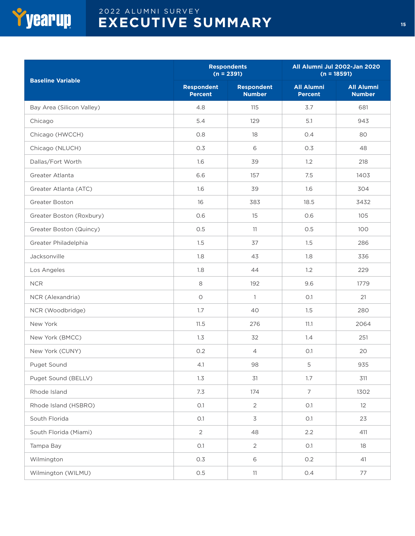

|                           |                                     | <b>Respondents</b><br>$(n = 2391)$ | All Alumni Jul 2002-Jan 2020<br>$(n = 18591)$ |                                    |  |
|---------------------------|-------------------------------------|------------------------------------|-----------------------------------------------|------------------------------------|--|
| <b>Baseline Variable</b>  | <b>Respondent</b><br><b>Percent</b> | <b>Respondent</b><br><b>Number</b> | <b>All Alumni</b><br><b>Percent</b>           | <b>All Alumni</b><br><b>Number</b> |  |
| Bay Area (Silicon Valley) | 4.8                                 | 115                                | 3.7                                           | 681                                |  |
| Chicago                   | 5.4                                 | 129                                | 5.1                                           | 943                                |  |
| Chicago (HWCCH)           | 0.8                                 | 18                                 | 0.4                                           | 80                                 |  |
| Chicago (NLUCH)           | 0.3                                 | 6                                  | 0.3                                           | 48                                 |  |
| Dallas/Fort Worth         | 1.6                                 | 39                                 | 1.2                                           | 218                                |  |
| Greater Atlanta           | 6.6                                 | 157                                | 7.5                                           | 1403                               |  |
| Greater Atlanta (ATC)     | 1.6                                 | 39                                 | 1.6                                           | 304                                |  |
| Greater Boston            | 16                                  | 383                                | 18.5                                          | 3432                               |  |
| Greater Boston (Roxbury)  | O.6                                 | 15                                 | 0.6                                           | 105                                |  |
| Greater Boston (Quincy)   | 0.5                                 | 11                                 | 0.5                                           | 100                                |  |
| Greater Philadelphia      | 1.5                                 | 37                                 | 1.5                                           | 286                                |  |
| Jacksonville              | 1.8                                 | 43                                 | 1.8                                           | 336                                |  |
| Los Angeles               | 1.8                                 | 44                                 | 1.2                                           | 229                                |  |
| <b>NCR</b>                | 8                                   | 192                                | 9.6                                           | 1779                               |  |
| NCR (Alexandria)          | $\circ$                             | $\mathbf{1}$                       | O.1                                           | 21                                 |  |
| NCR (Woodbridge)          | 1.7                                 | 40                                 | 1.5                                           | 280                                |  |
| New York                  | 11.5                                | 276                                | 11.1                                          | 2064                               |  |
| New York (BMCC)           | 1.3                                 | 32                                 | 1.4                                           | 251                                |  |
| New York (CUNY)           | 0.2                                 | $\overline{4}$                     | O.1                                           | 20                                 |  |
| Puget Sound               | 4.1                                 | 98                                 | 5                                             | 935                                |  |
| Puget Sound (BELLV)       | 1.3                                 | 31                                 | 1.7                                           | 311                                |  |
| Rhode Island              | 7.3                                 | 174                                | $\overline{7}$                                | 1302                               |  |
| Rhode Island (HSBRO)      | O.1                                 | $\overline{2}$                     | O.1                                           | 12                                 |  |
| South Florida             | O.1                                 | 3                                  | O.1                                           | 23                                 |  |
| South Florida (Miami)     | $\overline{2}$                      | 48                                 | 2.2                                           | 411                                |  |
| Tampa Bay                 | O.1                                 | $\overline{2}$                     | O.1                                           | 18                                 |  |
| Wilmington                | 0.3                                 | 6                                  | 0.2                                           | 41                                 |  |
| Wilmington (WILMU)        | 0.5                                 | 11                                 | 0.4                                           | 77                                 |  |